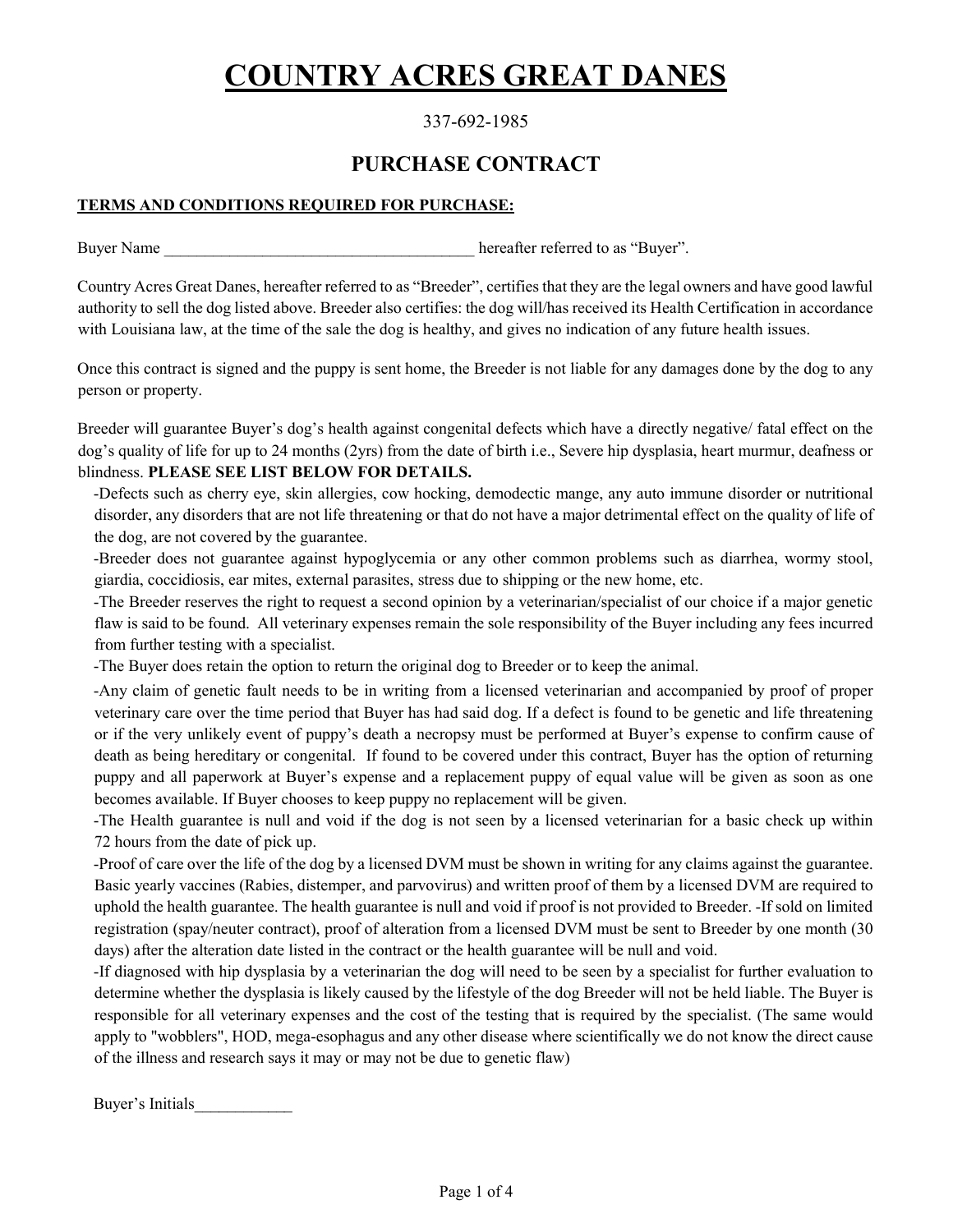# COUNTRY ACRES GREAT DANES

## 337-692-1985

## PURCHASE CONTRACT

## TERMS AND CONDITIONS REQUIRED FOR PURCHASE:

Buyer Name **Buyer Name** hereafter referred to as "Buyer".

Country Acres Great Danes, hereafter referred to as "Breeder", certifies that they are the legal owners and have good lawful authority to sell the dog listed above. Breeder also certifies: the dog will/has received its Health Certification in accordance with Louisiana law, at the time of the sale the dog is healthy, and gives no indication of any future health issues.

Once this contract is signed and the puppy is sent home, the Breeder is not liable for any damages done by the dog to any person or property.

Breeder will guarantee Buyer's dog's health against congenital defects which have a directly negative/ fatal effect on the dog's quality of life for up to 24 months (2yrs) from the date of birth i.e., Severe hip dysplasia, heart murmur, deafness or blindness. PLEASE SEE LIST BELOW FOR DETAILS.

-Defects such as cherry eye, skin allergies, cow hocking, demodectic mange, any auto immune disorder or nutritional disorder, any disorders that are not life threatening or that do not have a major detrimental effect on the quality of life of the dog, are not covered by the guarantee.

-Breeder does not guarantee against hypoglycemia or any other common problems such as diarrhea, wormy stool, giardia, coccidiosis, ear mites, external parasites, stress due to shipping or the new home, etc.

-The Breeder reserves the right to request a second opinion by a veterinarian/specialist of our choice if a major genetic flaw is said to be found. All veterinary expenses remain the sole responsibility of the Buyer including any fees incurred from further testing with a specialist.

-The Buyer does retain the option to return the original dog to Breeder or to keep the animal.

-Any claim of genetic fault needs to be in writing from a licensed veterinarian and accompanied by proof of proper veterinary care over the time period that Buyer has had said dog. If a defect is found to be genetic and life threatening or if the very unlikely event of puppy's death a necropsy must be performed at Buyer's expense to confirm cause of death as being hereditary or congenital. If found to be covered under this contract, Buyer has the option of returning puppy and all paperwork at Buyer's expense and a replacement puppy of equal value will be given as soon as one becomes available. If Buyer chooses to keep puppy no replacement will be given.

-The Health guarantee is null and void if the dog is not seen by a licensed veterinarian for a basic check up within 72 hours from the date of pick up.

-Proof of care over the life of the dog by a licensed DVM must be shown in writing for any claims against the guarantee. Basic yearly vaccines (Rabies, distemper, and parvovirus) and written proof of them by a licensed DVM are required to uphold the health guarantee. The health guarantee is null and void if proof is not provided to Breeder. -If sold on limited registration (spay/neuter contract), proof of alteration from a licensed DVM must be sent to Breeder by one month (30 days) after the alteration date listed in the contract or the health guarantee will be null and void.

-If diagnosed with hip dysplasia by a veterinarian the dog will need to be seen by a specialist for further evaluation to determine whether the dysplasia is likely caused by the lifestyle of the dog Breeder will not be held liable. The Buyer is responsible for all veterinary expenses and the cost of the testing that is required by the specialist. (The same would apply to "wobblers", HOD, mega-esophagus and any other disease where scientifically we do not know the direct cause of the illness and research says it may or may not be due to genetic flaw)

Buyer's Initials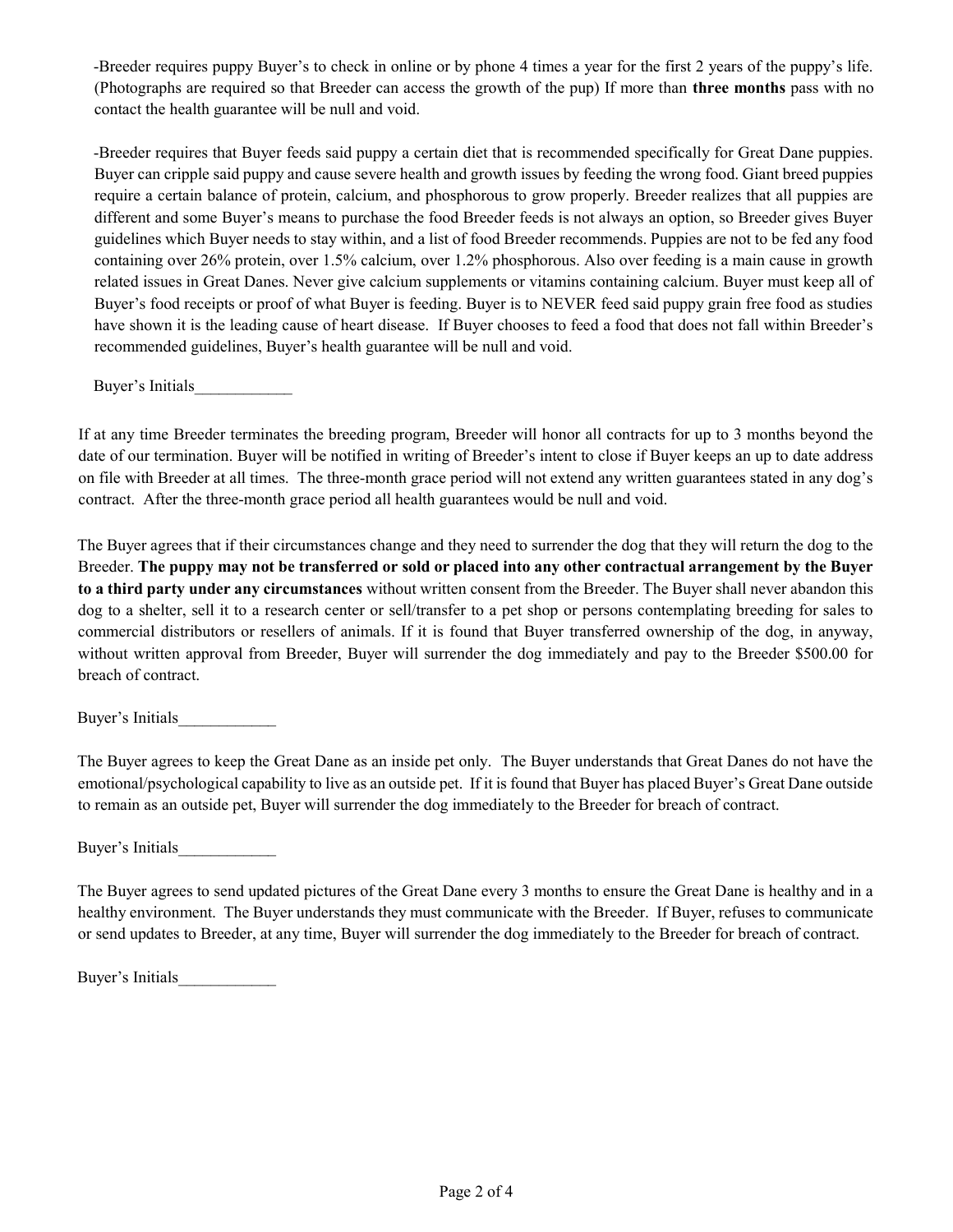-Breeder requires puppy Buyer's to check in online or by phone 4 times a year for the first 2 years of the puppy's life. (Photographs are required so that Breeder can access the growth of the pup) If more than three months pass with no contact the health guarantee will be null and void.

-Breeder requires that Buyer feeds said puppy a certain diet that is recommended specifically for Great Dane puppies. Buyer can cripple said puppy and cause severe health and growth issues by feeding the wrong food. Giant breed puppies require a certain balance of protein, calcium, and phosphorous to grow properly. Breeder realizes that all puppies are different and some Buyer's means to purchase the food Breeder feeds is not always an option, so Breeder gives Buyer guidelines which Buyer needs to stay within, and a list of food Breeder recommends. Puppies are not to be fed any food containing over 26% protein, over 1.5% calcium, over 1.2% phosphorous. Also over feeding is a main cause in growth related issues in Great Danes. Never give calcium supplements or vitamins containing calcium. Buyer must keep all of Buyer's food receipts or proof of what Buyer is feeding. Buyer is to NEVER feed said puppy grain free food as studies have shown it is the leading cause of heart disease. If Buyer chooses to feed a food that does not fall within Breeder's recommended guidelines, Buyer's health guarantee will be null and void.

Buyer's Initials\_\_\_\_\_\_\_\_\_\_\_\_

If at any time Breeder terminates the breeding program, Breeder will honor all contracts for up to 3 months beyond the date of our termination. Buyer will be notified in writing of Breeder's intent to close if Buyer keeps an up to date address on file with Breeder at all times. The three-month grace period will not extend any written guarantees stated in any dog's contract. After the three-month grace period all health guarantees would be null and void.

The Buyer agrees that if their circumstances change and they need to surrender the dog that they will return the dog to the Breeder. The puppy may not be transferred or sold or placed into any other contractual arrangement by the Buyer to a third party under any circumstances without written consent from the Breeder. The Buyer shall never abandon this dog to a shelter, sell it to a research center or sell/transfer to a pet shop or persons contemplating breeding for sales to commercial distributors or resellers of animals. If it is found that Buyer transferred ownership of the dog, in anyway, without written approval from Breeder, Buyer will surrender the dog immediately and pay to the Breeder \$500.00 for breach of contract.

Buyer's Initials\_\_\_\_\_\_\_\_\_\_\_\_

The Buyer agrees to keep the Great Dane as an inside pet only. The Buyer understands that Great Danes do not have the emotional/psychological capability to live as an outside pet. If it is found that Buyer has placed Buyer's Great Dane outside to remain as an outside pet, Buyer will surrender the dog immediately to the Breeder for breach of contract.

Buyer's Initials\_\_\_\_\_\_\_\_\_\_\_\_

The Buyer agrees to send updated pictures of the Great Dane every 3 months to ensure the Great Dane is healthy and in a healthy environment. The Buyer understands they must communicate with the Breeder. If Buyer, refuses to communicate or send updates to Breeder, at any time, Buyer will surrender the dog immediately to the Breeder for breach of contract.

Buyer's Initials\_\_\_\_\_\_\_\_\_\_\_\_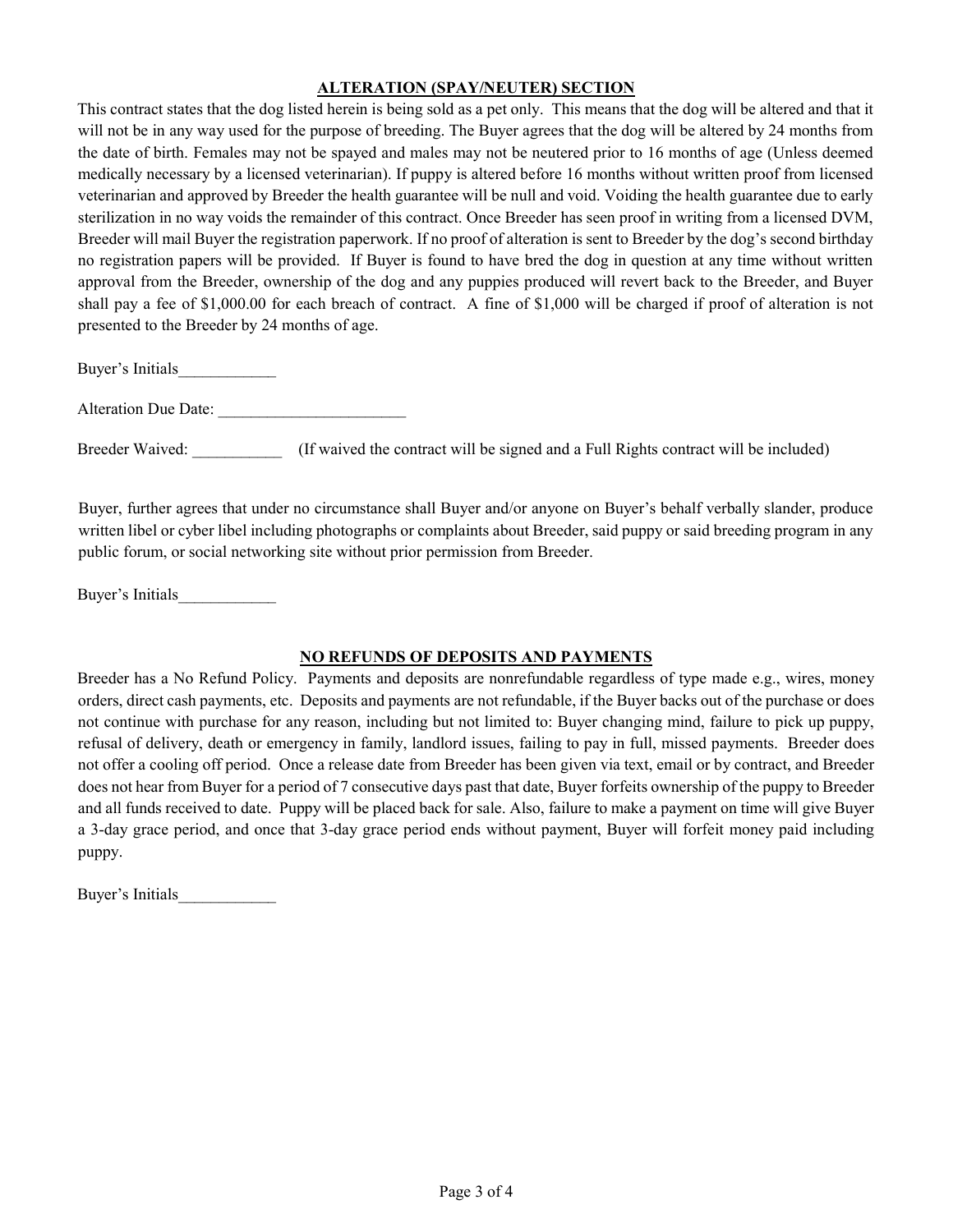#### ALTERATION (SPAY/NEUTER) SECTION

This contract states that the dog listed herein is being sold as a pet only. This means that the dog will be altered and that it will not be in any way used for the purpose of breeding. The Buyer agrees that the dog will be altered by 24 months from the date of birth. Females may not be spayed and males may not be neutered prior to 16 months of age (Unless deemed medically necessary by a licensed veterinarian). If puppy is altered before 16 months without written proof from licensed veterinarian and approved by Breeder the health guarantee will be null and void. Voiding the health guarantee due to early sterilization in no way voids the remainder of this contract. Once Breeder has seen proof in writing from a licensed DVM, Breeder will mail Buyer the registration paperwork. If no proof of alteration is sent to Breeder by the dog's second birthday no registration papers will be provided. If Buyer is found to have bred the dog in question at any time without written approval from the Breeder, ownership of the dog and any puppies produced will revert back to the Breeder, and Buyer shall pay a fee of \$1,000.00 for each breach of contract. A fine of \$1,000 will be charged if proof of alteration is not presented to the Breeder by 24 months of age.

Buyer's Initials\_\_\_\_\_\_\_\_\_\_\_\_

Alteration Due Date:

Breeder Waived: (If waived the contract will be signed and a Full Rights contract will be included)

Buyer, further agrees that under no circumstance shall Buyer and/or anyone on Buyer's behalf verbally slander, produce written libel or cyber libel including photographs or complaints about Breeder, said puppy or said breeding program in any public forum, or social networking site without prior permission from Breeder.

Buyer's Initials\_\_\_\_\_\_\_\_\_\_\_\_

#### NO REFUNDS OF DEPOSITS AND PAYMENTS

Breeder has a No Refund Policy. Payments and deposits are nonrefundable regardless of type made e.g., wires, money orders, direct cash payments, etc. Deposits and payments are not refundable, if the Buyer backs out of the purchase or does not continue with purchase for any reason, including but not limited to: Buyer changing mind, failure to pick up puppy, refusal of delivery, death or emergency in family, landlord issues, failing to pay in full, missed payments. Breeder does not offer a cooling off period. Once a release date from Breeder has been given via text, email or by contract, and Breeder does not hear from Buyer for a period of 7 consecutive days past that date, Buyer forfeits ownership of the puppy to Breeder and all funds received to date. Puppy will be placed back for sale. Also, failure to make a payment on time will give Buyer a 3-day grace period, and once that 3-day grace period ends without payment, Buyer will forfeit money paid including puppy.

Buyer's Initials\_\_\_\_\_\_\_\_\_\_\_\_